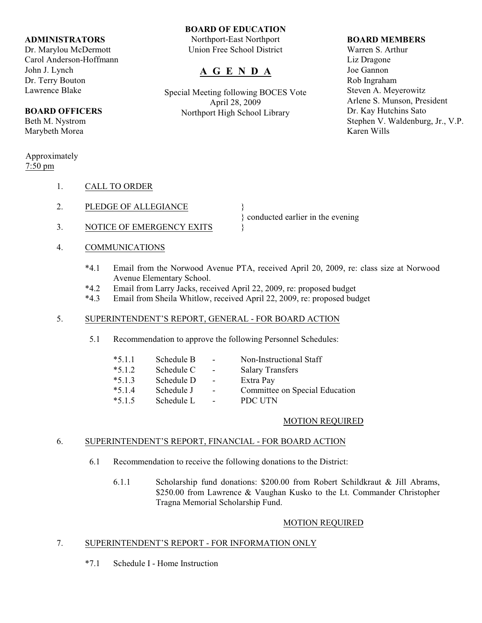## **ADMINISTRATORS**

Dr. Marylou McDermott Carol Anderson-Hoffmann John J. Lynch Dr. Terry Bouton Lawrence Blake

## **BOARD OFFICERS**

Beth M. Nystrom Marybeth Morea

## Approximately 7:50 pm

- 1. CALL TO ORDER
- 2. PLEDGE OF ALLEGIANCE
- 3. NOTICE OF EMERGENCY EXITS  $\{$
- 4. COMMUNICATIONS
	- \*4.1 Email from the Norwood Avenue PTA, received April 20, 2009, re: class size at Norwood Avenue Elementary School.

} conducted earlier in the evening

- \*4.2 Email from Larry Jacks, received April 22, 2009, re: proposed budget
- Email from Sheila Whitlow, received April 22, 2009, re: proposed budget

## 5. SUPERINTENDENT'S REPORT, GENERAL - FOR BOARD ACTION

5.1 Recommendation to approve the following Personnel Schedules:

| $*5.1.1$ | Schedule B | $\overline{\phantom{a}}$ | Non-Instructional Staff        |
|----------|------------|--------------------------|--------------------------------|
| $*5.1.2$ | Schedule C | $\overline{\phantom{a}}$ | <b>Salary Transfers</b>        |
| $*5.1.3$ | Schedule D | $\overline{\phantom{a}}$ | Extra Pay                      |
| $*5.1.4$ | Schedule J | $\blacksquare$           | Committee on Special Education |
| $*5.1.5$ | Schedule L | $\blacksquare$           | PDC UTN                        |

## MOTION REQUIRED

## 6. SUPERINTENDENT'S REPORT, FINANCIAL - FOR BOARD ACTION

- 6.1 Recommendation to receive the following donations to the District:
	- 6.1.1 Scholarship fund donations: \$200.00 from Robert Schildkraut & Jill Abrams, \$250.00 from Lawrence & Vaughan Kusko to the Lt. Commander Christopher Tragna Memorial Scholarship Fund.

## MOTION REQUIRED

## 7. SUPERINTENDENT'S REPORT - FOR INFORMATION ONLY

\*7.1 Schedule I - Home Instruction

# **BOARD OF EDUCATION**

Northport-East Northport Union Free School District

## **A G E N D A**

Special Meeting following BOCES Vote April 28, 2009 Northport High School Library

## **BOARD MEMBERS**

Warren S. Arthur Liz Dragone Joe Gannon Rob Ingraham Steven A. Meyerowitz Arlene S. Munson, President Dr. Kay Hutchins Sato Stephen V. Waldenburg, Jr., V.P. Karen Wills